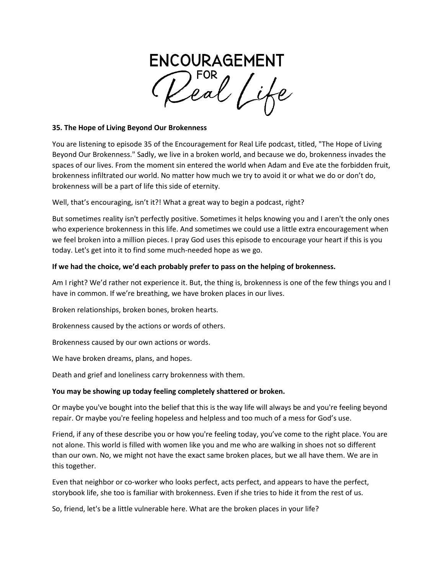**ENCOURAGEMENT** 

## **35. The Hope of Living Beyond Our Brokenness**

You are listening to episode 35 of the Encouragement for Real Life podcast, titled, "The Hope of Living Beyond Our Brokenness." Sadly, we live in a broken world, and because we do, brokenness invades the spaces of our lives. From the moment sin entered the world when Adam and Eve ate the forbidden fruit, brokenness infiltrated our world. No matter how much we try to avoid it or what we do or don't do, brokenness will be a part of life this side of eternity.

Well, that's encouraging, isn't it?! What a great way to begin a podcast, right?

But sometimes reality isn't perfectly positive. Sometimes it helps knowing you and I aren't the only ones who experience brokenness in this life. And sometimes we could use a little extra encouragement when we feel broken into a million pieces. I pray God uses this episode to encourage your heart if this is you today. Let's get into it to find some much-needed hope as we go.

# **If we had the choice, we'd each probably prefer to pass on the helping of brokenness.**

Am I right? We'd rather not experience it. But, the thing is, brokenness is one of the few things you and I have in common. If we're breathing, we have broken places in our lives.

Broken relationships, broken bones, broken hearts.

Brokenness caused by the actions or words of others.

Brokenness caused by our own actions or words.

We have broken dreams, plans, and hopes.

Death and grief and loneliness carry brokenness with them.

# **You may be showing up today feeling completely shattered or broken.**

Or maybe you've bought into the belief that this is the way life will always be and you're feeling beyond repair. Or maybe you're feeling hopeless and helpless and too much of a mess for God's use.

Friend, if any of these describe you or how you're feeling today, you've come to the right place. You are not alone. This world is filled with women like you and me who are walking in shoes not so different than our own. No, we might not have the exact same broken places, but we all have them. We are in this together.

Even that neighbor or co-worker who looks perfect, acts perfect, and appears to have the perfect, storybook life, she too is familiar with brokenness. Even if she tries to hide it from the rest of us.

So, friend, let's be a little vulnerable here. What are the broken places in your life?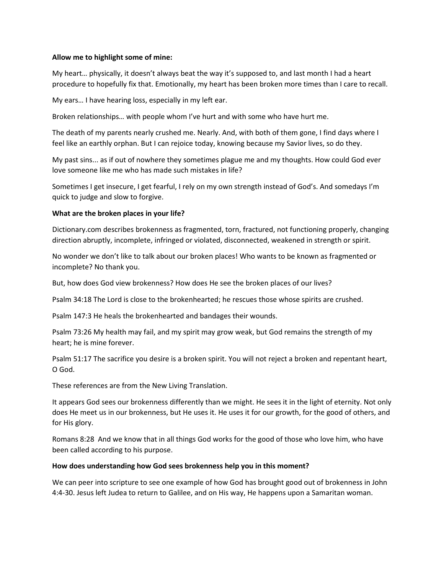# **Allow me to highlight some of mine:**

My heart… physically, it doesn't always beat the way it's supposed to, and last month I had a heart procedure to hopefully fix that. Emotionally, my heart has been broken more times than I care to recall.

My ears… I have hearing loss, especially in my left ear.

Broken relationships… with people whom I've hurt and with some who have hurt me.

The death of my parents nearly crushed me. Nearly. And, with both of them gone, I find days where I feel like an earthly orphan. But I can rejoice today, knowing because my Savior lives, so do they.

My past sins... as if out of nowhere they sometimes plague me and my thoughts. How could God ever love someone like me who has made such mistakes in life?

Sometimes I get insecure, I get fearful, I rely on my own strength instead of God's. And somedays I'm quick to judge and slow to forgive.

### **What are the broken places in your life?**

Dictionary.com describes brokenness as fragmented, torn, fractured, not functioning properly, changing direction abruptly, incomplete, infringed or violated, disconnected, weakened in strength or spirit.

No wonder we don't like to talk about our broken places! Who wants to be known as fragmented or incomplete? No thank you.

But, how does God view brokenness? How does He see the broken places of our lives?

Psalm 34:18 The Lord is close to the brokenhearted; he rescues those whose spirits are crushed.

Psalm 147:3 He heals the brokenhearted and bandages their wounds.

Psalm 73:26 My health may fail, and my spirit may grow weak, but God remains the strength of my heart; he is mine forever.

Psalm 51:17 The sacrifice you desire is a broken spirit. You will not reject a broken and repentant heart, O God.

These references are from the New Living Translation.

It appears God sees our brokenness differently than we might. He sees it in the light of eternity. Not only does He meet us in our brokenness, but He uses it. He uses it for our growth, for the good of others, and for His glory.

Romans 8:28 And we know that in all things God works for the good of those who love him, who have been called according to his purpose.

#### **How does understanding how God sees brokenness help you in this moment?**

We can peer into scripture to see one example of how God has brought good out of brokenness in John 4:4-30. Jesus left Judea to return to Galilee, and on His way, He happens upon a Samaritan woman.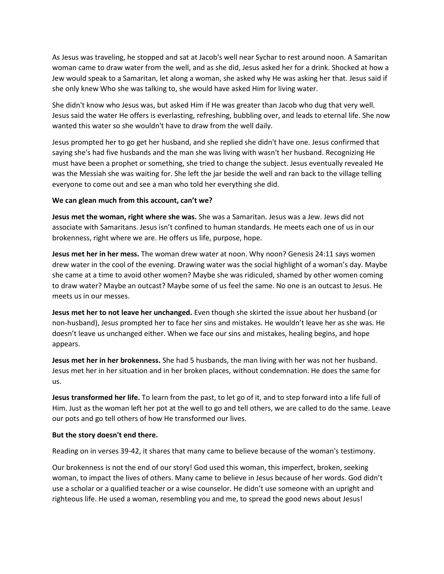As Jesus was traveling, he stopped and sat at Jacob's well near Sychar to rest around noon. A Samaritan woman came to draw water from the well, and as she did, Jesus asked her for a drink. Shocked at how a Jew would speak to a Samaritan, let along a woman, she asked why He was asking her that. Jesus said if she only knew Who she was talking to, she would have asked Him for living water.

She didn't know who Jesus was, but asked Him if He was greater than Jacob who dug that very well. Jesus said the water He offers is everlasting, refreshing, bubbling over, and leads to eternal life. She now wanted this water so she wouldn't have to draw from the well daily.

Jesus prompted her to go get her husband, and she replied she didn't have one. Jesus confirmed that saying she's had five husbands and the man she was living with wasn't her husband. Recognizing He must have been a prophet or something, she tried to change the subject. Jesus eventually revealed He was the Messiah she was waiting for. She left the jar beside the well and ran back to the village telling everyone to come out and see a man who told her everything she did.

#### **We can glean much from this account, can't we?**

**Jesus met the woman, right where she was.** She was a Samaritan. Jesus was a Jew. Jews did not associate with Samaritans. Jesus isn't confined to human standards. He meets each one of us in our brokenness, right where we are. He offers us life, purpose, hope.

**Jesus met her in her mess.** The woman drew water at noon. Why noon? Genesis 24:11 says women drew water in the cool of the evening. Drawing water was the social highlight of a woman's day. Maybe she came at a time to avoid other women? Maybe she was ridiculed, shamed by other women coming to draw water? Maybe an outcast? Maybe some of us feel the same. No one is an outcast to Jesus. He meets us in our messes.

**Jesus met her to not leave her unchanged.** Even though she skirted the issue about her husband (or non-husband), Jesus prompted her to face her sins and mistakes. He wouldn't leave her as she was. He doesn't leave us unchanged either. When we face our sins and mistakes, healing begins, and hope appears.

**Jesus met her in her brokenness.** She had 5 husbands, the man living with her was not her husband. Jesus met her in her situation and in her broken places, without condemnation. He does the same for us.

**Jesus transformed her life.** To learn from the past, to let go of it, and to step forward into a life full of Him. Just as the woman left her pot at the well to go and tell others, we are called to do the same. Leave our pots and go tell others of how He transformed our lives.

# **But the story doesn't end there.**

Reading on in verses 39-42, it shares that many came to believe because of the woman's testimony.

Our brokenness is not the end of our story! God used this woman, this imperfect, broken, seeking woman, to impact the lives of others. Many came to believe in Jesus because of her words. God didn't use a scholar or a qualified teacher or a wise counselor. He didn't use someone with an upright and righteous life. He used a woman, resembling you and me, to spread the good news about Jesus!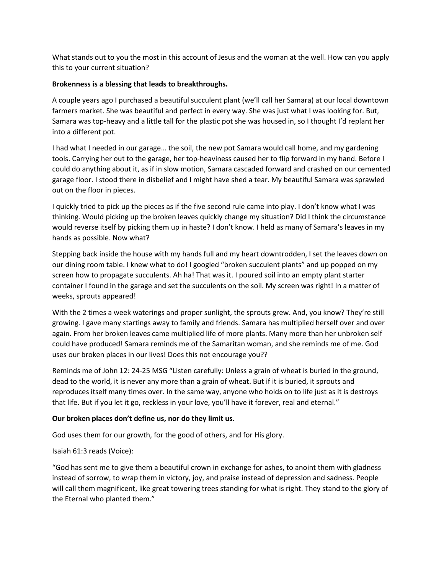What stands out to you the most in this account of Jesus and the woman at the well. How can you apply this to your current situation?

# **Brokenness is a blessing that leads to breakthroughs.**

A couple years ago I purchased a beautiful succulent plant (we'll call her Samara) at our local downtown farmers market. She was beautiful and perfect in every way. She was just what I was looking for. But, Samara was top-heavy and a little tall for the plastic pot she was housed in, so I thought I'd replant her into a different pot.

I had what I needed in our garage… the soil, the new pot Samara would call home, and my gardening tools. Carrying her out to the garage, her top-heaviness caused her to flip forward in my hand. Before I could do anything about it, as if in slow motion, Samara cascaded forward and crashed on our cemented garage floor. I stood there in disbelief and I might have shed a tear. My beautiful Samara was sprawled out on the floor in pieces.

I quickly tried to pick up the pieces as if the five second rule came into play. I don't know what I was thinking. Would picking up the broken leaves quickly change my situation? Did I think the circumstance would reverse itself by picking them up in haste? I don't know. I held as many of Samara's leaves in my hands as possible. Now what?

Stepping back inside the house with my hands full and my heart downtrodden, I set the leaves down on our dining room table. I knew what to do! I googled "broken succulent plants" and up popped on my screen how to propagate succulents. Ah ha! That was it. I poured soil into an empty plant starter container I found in the garage and set the succulents on the soil. My screen was right! In a matter of weeks, sprouts appeared!

With the 2 times a week waterings and proper sunlight, the sprouts grew. And, you know? They're still growing. I gave many startings away to family and friends. Samara has multiplied herself over and over again. From her broken leaves came multiplied life of more plants. Many more than her unbroken self could have produced! Samara reminds me of the Samaritan woman, and she reminds me of me. God uses our broken places in our lives! Does this not encourage you??

Reminds me of John 12: 24-25 MSG "Listen carefully: Unless a grain of wheat is buried in the ground, dead to the world, it is never any more than a grain of wheat. But if it is buried, it sprouts and reproduces itself many times over. In the same way, anyone who holds on to life just as it is destroys that life. But if you let it go, reckless in your love, you'll have it forever, real and eternal."

# **Our broken places don't define us, nor do they limit us.**

God uses them for our growth, for the good of others, and for His glory.

# Isaiah 61:3 reads (Voice):

"God has sent me to give them a beautiful crown in exchange for ashes, to anoint them with gladness instead of sorrow, to wrap them in victory, joy, and praise instead of depression and sadness. People will call them magnificent, like great towering trees standing for what is right. They stand to the glory of the Eternal who planted them."